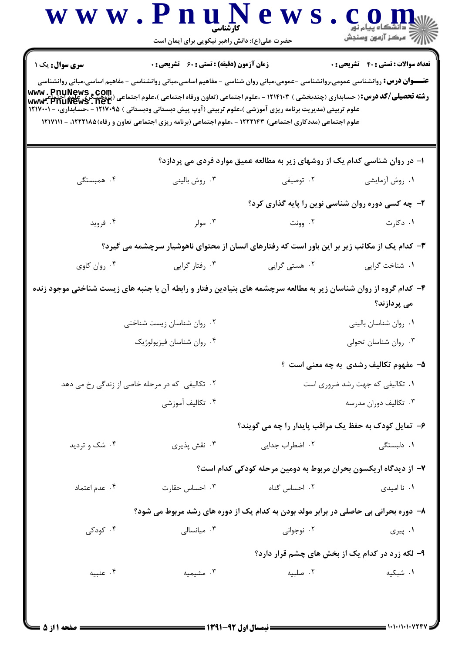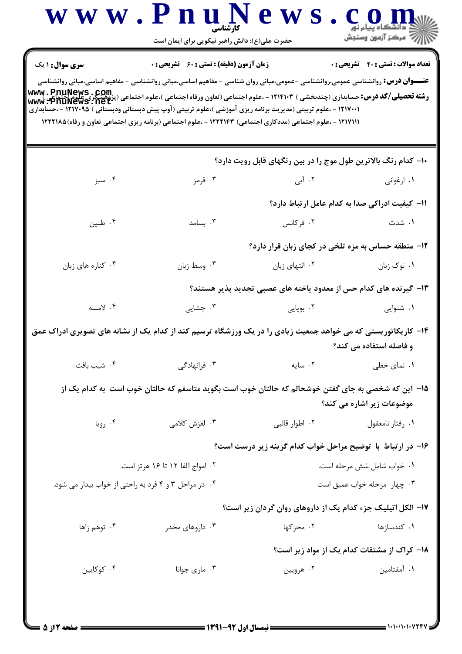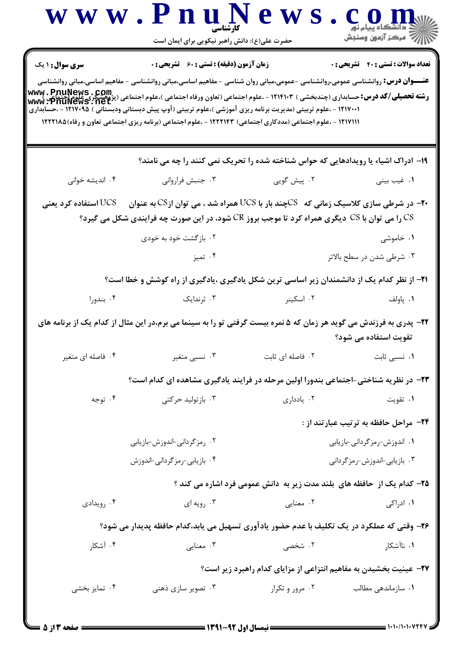|                        | www.PnuNews<br>حضرت علی(ع): دانش راهبر نیکویی برای ایمان است                                                                                                                                                                                                                                                                                                                                                                                                                                                                                                                                |                                                                        |                                                                   |
|------------------------|---------------------------------------------------------------------------------------------------------------------------------------------------------------------------------------------------------------------------------------------------------------------------------------------------------------------------------------------------------------------------------------------------------------------------------------------------------------------------------------------------------------------------------------------------------------------------------------------|------------------------------------------------------------------------|-------------------------------------------------------------------|
| <b>سری سوال : ۱ یک</b> | <b>زمان آزمون (دقیقه) : تستی : 60 ٪ تشریحی : 0</b><br><b>عنـــوان درس:</b> روانشناسی عمومی،روانشناسی -عمومی،مبانی روان شناسی - مفاهیم اساسی،مبانی روانشناسی - مفاهیم اساسی،مبانی روانشناسی<br><b>رشته تحصیلی/کد درس: حسابداری (چندبخشی ) ۱۲۱۴۱۰۳ - ،علوم اجتماعی (تعاون ورفاه اجتماعی ) ،علوم اجتماعی (پژوهشگری علوم[حتماعی )<br/>Www : PnuNews : net</b><br>۱۲۱۷۰۰۱ - ،علوم تربیتی (مدیریت برنامه ریزی آموزشی )،علوم تربیتی (آوپ پیش دبستانی ودبستانی ) ۱۲۱۷۰۹۵ - ،حسابداری<br>۱۲۱۷۱۱۱ - ،علوم اجتماعی (مددکاری اجتماعی) ۱۲۲۲۱۴۳ - ،علوم اجتماعی (برنامه ریزی اجتماعی تعاون و رفاه)۱۲۲۲۱۸۵ |                                                                        | <b>تعداد سوالات : تستي : 40 - تشريحي : 0</b>                      |
|                        | ۱۹- ادراک اشیاء یا رویدادهایی که حواس شناخته شده را تحریک نمی کنند را چه می نامند؟                                                                                                                                                                                                                                                                                                                                                                                                                                                                                                          |                                                                        |                                                                   |
| ۰۴ اندیشه خوانی        | ۰۳ جنبش فرارواني                                                                                                                                                                                                                                                                                                                                                                                                                                                                                                                                                                            | ۰۲ پیش گویی                                                            | ۰۱ غیب بینی                                                       |
| استفاده کرد یعنی UCS   | در شرطی سازی کلاسیک زمانی که $\,\rm{CC}S$ چند بار با UCS همراه شد ، می توان از $\,\rm{CS}$ به عنوان -<br>را می توان با CS دیگری همراه کرد تا موجب بروز CR شود، در این صورت چه فرایندی شکل می گیرد؟ $\, {\rm CS} \,$<br>۰۲ بازگشت خود به خودی                                                                                                                                                                                                                                                                                                                                                |                                                                        | ۰۱ خاموشی                                                         |
|                        | ۰۴ تميز                                                                                                                                                                                                                                                                                                                                                                                                                                                                                                                                                                                     |                                                                        | ۰۳ شرطی شدن در سطح بالاتر                                         |
|                        | <b>۲۱</b> – از نظر کدام یک از دانشمندان زیر اساسی ترین شکل یادگیری ،یادگیری از راه کوشش و خطا است؟                                                                                                                                                                                                                                                                                                                                                                                                                                                                                          |                                                                        |                                                                   |
| ۰۴ بندورا              | ۰۳ ژندایک                                                                                                                                                                                                                                                                                                                                                                                                                                                                                                                                                                                   | ۰۲ اسکینر                                                              | ۰۱ پاولف                                                          |
|                        | ۲۲- پدری به فرزندش می گوید هر زمان که ۵ نمره بیست گرفتی تو را به سینما می برم،در این مثال از کدام یک از برنامه های                                                                                                                                                                                                                                                                                                                                                                                                                                                                          |                                                                        | تقویت استفاده می شود؟                                             |
| ۰۴ فاصله ای متغیر      | ۰۳ نسبی متغیر                                                                                                                                                                                                                                                                                                                                                                                                                                                                                                                                                                               | ۰۲ فاصله ای ثابت                                                       | ۰۱ نسبی ثابت                                                      |
|                        | ۲۳- در نظریه شناختی-اجتماعی بندورا اولین مرحله در فرایند یادگیری مشاهده ای کدام است؟                                                                                                                                                                                                                                                                                                                                                                                                                                                                                                        |                                                                        |                                                                   |
| ۰۴ توجه                | ۰۳ بازتولید حرکتی                                                                                                                                                                                                                                                                                                                                                                                                                                                                                                                                                                           | ۰۲ ياددارى                                                             | ۰۱ تقويت                                                          |
|                        |                                                                                                                                                                                                                                                                                                                                                                                                                                                                                                                                                                                             |                                                                        | ۲۴- مراحل حافظه به ترتیب عبارتند از :                             |
|                        | ۰۲ رمزگردانی-اندوزش-بازیابی                                                                                                                                                                                                                                                                                                                                                                                                                                                                                                                                                                 |                                                                        | ۰۱ اندوزش-رمزگردانی-بازیابی                                       |
|                        | ۰۴ بازیابی-رمزگردانی-اندوزش                                                                                                                                                                                                                                                                                                                                                                                                                                                                                                                                                                 |                                                                        | ۰۳ بازیابی-اندوزش-رمزگردانی                                       |
|                        |                                                                                                                                                                                                                                                                                                                                                                                                                                                                                                                                                                                             | ۲۵– کدام یک از حافظه های بلند مدت زیر به دانش عمومی فرد اشاره می کند ؟ |                                                                   |
| ۰۴ رویدادی             | ۰۳ رویه ای                                                                                                                                                                                                                                                                                                                                                                                                                                                                                                                                                                                  | ۰۲ معنایی                                                              | ۰۱ ادراکی                                                         |
|                        | ۲۶- وقتی که عملکرد در یک تکلیف با عدم حضور یادآوری تسهیل می یابد،کدام حافظه پدیدار می شود؟                                                                                                                                                                                                                                                                                                                                                                                                                                                                                                  |                                                                        |                                                                   |
| ۰۴ آشکار               | ۰۳ معنایی                                                                                                                                                                                                                                                                                                                                                                                                                                                                                                                                                                                   | ۰۲ شخصی                                                                | ۰۱ ناآشکار                                                        |
|                        |                                                                                                                                                                                                                                                                                                                                                                                                                                                                                                                                                                                             |                                                                        | ۲۷- عینیت بخشیدن به مفاهیم انتزاعی از مزایای کدام راهبرد زیر است؟ |
| ۰۴ تمایز بخشی          | ۰۳ تصویر سازی ذهنی                                                                                                                                                                                                                                                                                                                                                                                                                                                                                                                                                                          | ۰۲ مرور و تکرار                                                        | ۰۱ سازماندهی مطالب                                                |
|                        |                                                                                                                                                                                                                                                                                                                                                                                                                                                                                                                                                                                             |                                                                        |                                                                   |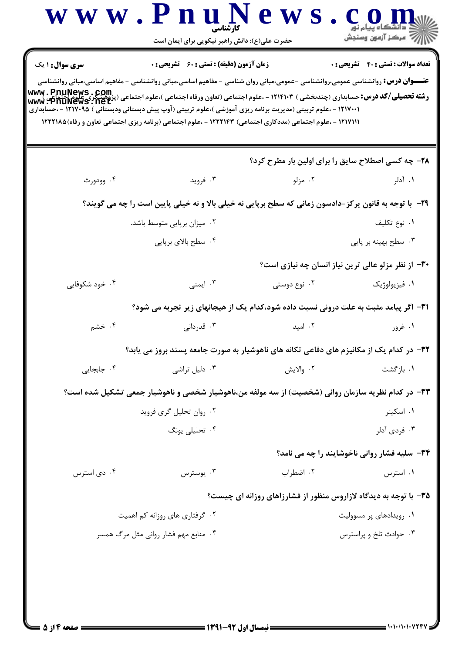|                                                                                                                                                                                                                                                                                                                                                                                                                                      | حضرت علی(ع): دانش راهبر نیکویی برای ایمان است                                                               |                                                                  | // مرکز آزمون وسنجش                                |
|--------------------------------------------------------------------------------------------------------------------------------------------------------------------------------------------------------------------------------------------------------------------------------------------------------------------------------------------------------------------------------------------------------------------------------------|-------------------------------------------------------------------------------------------------------------|------------------------------------------------------------------|----------------------------------------------------|
| <b>سری سوال :</b> ۱ یک                                                                                                                                                                                                                                                                                                                                                                                                               | <b>زمان آزمون (دقیقه) : تستی : 60 ٪ تشریحی : 0</b>                                                          |                                                                  | <b>تعداد سوالات : تستی : 40 قشریحی : 0</b>         |
| <b>عنـــوان درس:</b> روانشناسی عمومی،روانشناسی –عمومی،مبانی روان شناسی – مفاهیم اساسی،مبانی روانشناسی – مفاهیم اساسی،مبانی روانشناسی<br>- WWW . PnuNews . Com.<br>رشته تحصیلی/کد درس: حسابداری (چندبخشی ) ۱۲۱۴۱۰۳ - ،علوم اجتماعی (تعاون ورفاه اجتماعی )،علوم اجتماعی (پژوهشگری علوم[حتماع<br>WWW . PnuNews . net<br>۱۲۱۷۰۰۱ - ،علوم تربیتی (مدیریت برنامه ریزی آموزشی )،علوم تربیتی (آوپ پیش دبستانی ودبستانی ) ۱۲۱۷۰۹۵ - ،حسابداری | ۱۲۱۷۱۱۱ - ،علوم اجتماعی (مددکاری اجتماعی) ۱۲۲۲۱۴۳ - ،علوم اجتماعی (برنامه ریزی اجتماعی تعاون و رفاه)۱۲۲۲۱۸۵ |                                                                  |                                                    |
|                                                                                                                                                                                                                                                                                                                                                                                                                                      |                                                                                                             | ۲۸- چه کسی اصطلاح سایق را برای اولین بار مطرح کرد؟               |                                                    |
| ۰۴ وودورث                                                                                                                                                                                                                                                                                                                                                                                                                            | ۰۳ فروید                                                                                                    | ۰۲ مزلو                                                          | ۰۱ آدلر                                            |
|                                                                                                                                                                                                                                                                                                                                                                                                                                      | ۲۹- با توجه به قانون پرکز-دادسون زمانی که سطح برپایی نه خیلی بالا و نه خیلی پایین است را چه می گویند؟       |                                                                  |                                                    |
|                                                                                                                                                                                                                                                                                                                                                                                                                                      | ۰۲ میزان برپایی متوسط باشد.                                                                                 |                                                                  | ٠١ نوع تكليف                                       |
|                                                                                                                                                                                                                                                                                                                                                                                                                                      | ۰۴ سطح بالای برپایی                                                                                         |                                                                  | ۰۳ سطح بهینه بر پایی                               |
|                                                                                                                                                                                                                                                                                                                                                                                                                                      |                                                                                                             |                                                                  | ۳۰– از نظر مزلو عالی ترین نیاز انسان چه نیازی است؟ |
| ۰۴ خود شکوفایی                                                                                                                                                                                                                                                                                                                                                                                                                       | ۰۳ ایمنی                                                                                                    | ۰۲ نوع دوستی                                                     | ۰۱ فیزیولوژیک                                      |
|                                                                                                                                                                                                                                                                                                                                                                                                                                      | ۳۱- اگر پیامد مثبت به علت درونی نسبت داده شود،کدام یک از هیجانهای زیر تجربه می شود؟                         |                                                                  |                                                    |
| ۰۴ خشم                                                                                                                                                                                                                                                                                                                                                                                                                               | ۰۳ قدردانی                                                                                                  | ۰۲ امید                                                          | ۰۱ غرور                                            |
|                                                                                                                                                                                                                                                                                                                                                                                                                                      | ۳۲- در کدام یک از مکانیزم های دفاعی تکانه های ناهوشیار به صورت جامعه پسند بروز می یابد؟                     |                                                                  |                                                    |
| ۰۴ جابجایی                                                                                                                                                                                                                                                                                                                                                                                                                           | ۰۳ دلیل تراشی                                                                                               | ٢. والايش                                                        | ۰۱ بازگشت                                          |
|                                                                                                                                                                                                                                                                                                                                                                                                                                      | ۳۳– در کدام نظریه سازمان روانی (شخصیت) از سه مولفه من،ناهوشیار شخصی و ناهوشیار جمعی تشکیل شده است؟          |                                                                  |                                                    |
|                                                                                                                                                                                                                                                                                                                                                                                                                                      | ۰۲ روان تحلیل گری فروید                                                                                     |                                                                  | ۰۱ اسکینر                                          |
|                                                                                                                                                                                                                                                                                                                                                                                                                                      | ۰۴ تحلیلی یونگ                                                                                              |                                                                  | ۰۳ فردی آدلر                                       |
|                                                                                                                                                                                                                                                                                                                                                                                                                                      |                                                                                                             |                                                                  | ۳۴- سلیه فشار روانی ناخوشایند را چه می نامد؟       |
| ۰۴ دی استرس                                                                                                                                                                                                                                                                                                                                                                                                                          | ۰۳ يوسترس                                                                                                   | ۰۲ اضطراب                                                        | ٠١ استرس                                           |
|                                                                                                                                                                                                                                                                                                                                                                                                                                      |                                                                                                             | ۳۵- با توجه به دیدگاه لازاروس منظور از فشارزاهای روزانه ای چیست؟ |                                                    |
|                                                                                                                                                                                                                                                                                                                                                                                                                                      | ۰۲ گرفتاری های روزانه کم اهمیت                                                                              |                                                                  | ۰۱ رویدادهای پر مسوولیت                            |
|                                                                                                                                                                                                                                                                                                                                                                                                                                      | ۰۴ منابع مهم فشار روانی مثل مرگ همسر                                                                        |                                                                  | ۰۳ حوادث تلخ و پراسترس                             |